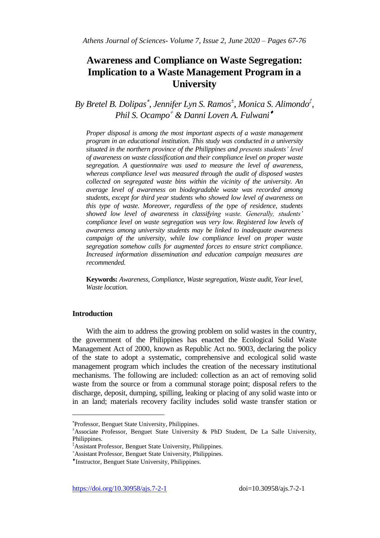# **Awareness and Compliance on Waste Segregation: Implication to a Waste Management Program in a University**

*By Bretel B. Dolipas , Jennifer Lyn S. Ramos<sup>±</sup> , Monica S. Alimondo‡ , Phil S. Ocampo & Danni Loven A. Fulwani*

*Proper disposal is among the most important aspects of a waste management program in an educational institution. This study was conducted in a university situated in the northern province of the Philippines and presents students' level of awareness on waste classification and their compliance level on proper waste segregation. A questionnaire was used to measure the level of awareness, whereas compliance level was measured through the audit of disposed wastes collected on segregated waste bins within the vicinity of the university. An average level of awareness on biodegradable waste was recorded among students, except for third year students who showed low level of awareness on this type of waste. Moreover, regardless of the type of residence, students showed low level of awareness in classifying waste. Generally, students' compliance level on waste segregation was very low. Registered low levels of awareness among university students may be linked to inadequate awareness campaign of the university, while low compliance level on proper waste segregation somehow calls for augmented forces to ensure strict compliance. Increased information dissemination and education campaign measures are recommended.*

**Keywords:** *Awareness, Compliance, Waste segregation, Waste audit, Year level, Waste location.*

# **Introduction**

 $\overline{a}$ 

With the aim to address the growing problem on solid wastes in the country, the government of the Philippines has enacted the Ecological Solid Waste Management Act of 2000, known as Republic Act no. 9003, declaring the policy of the state to adopt a systematic, comprehensive and ecological solid waste management program which includes the creation of the necessary institutional mechanisms. The following are included: collection as an act of removing solid waste from the source or from a communal storage point; disposal refers to the discharge, deposit, dumping, spilling, leaking or placing of any solid waste into or in an land; materials recovery facility includes solid waste transfer station or

<https://doi.org/10.30958/ajs.7-2-1>doi=10.30958/ajs.7-2-1

Professor, Benguet State University, Philippines.

<sup>±</sup>Associate Professor, Benguet State University & PhD Student, De La Salle University, Philippines.

<sup>‡</sup>Assistant Professor, Benguet State University, Philippines.

Assistant Professor, Benguet State University, Philippines.

*<sup>\*</sup>Instructor, Benguet State University, Philippines.*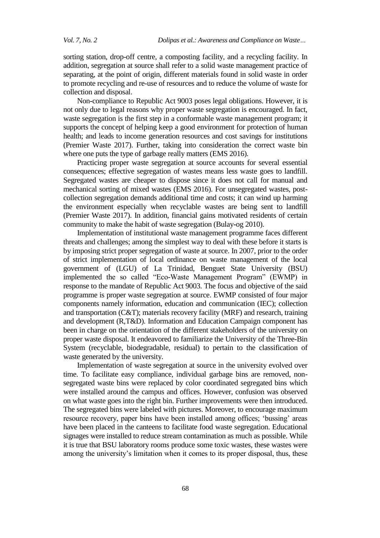sorting station, drop-off centre, a composting facility, and a recycling facility. In addition, segregation at source shall refer to a solid waste management practice of separating, at the point of origin, different materials found in solid waste in order to promote recycling and re-use of resources and to reduce the volume of waste for collection and disposal.

Non**-**compliance to Republic Act 9003 poses legal obligations. However, it is not only due to legal reasons why proper waste segregation is encouraged. In fact, waste segregation is the first step in a conformable waste management program; it supports the concept of helping keep a good environment for protection of human health; and leads to income generation resources and cost savings for institutions (Premier Waste 2017). Further, taking into consideration the correct waste bin where one puts the type of garbage really matters (EMS 2016).

Practicing proper waste segregation at source accounts for several essential consequences; effective segregation of wastes means less waste goes to landfill. Segregated wastes are cheaper to dispose since it does not call for manual and mechanical sorting of mixed wastes (EMS 2016). For unsegregated wastes, postcollection segregation demands additional time and costs; it can wind up harming the environment especially when recyclable wastes are being sent to landfill (Premier Waste 2017). In addition, financial gains motivated residents of certain community to make the habit of waste segregation (Bulay**-**og 2010).

Implementation of institutional waste management programme faces different threats and challenges; among the simplest way to deal with these before it starts is by imposing strict proper segregation of waste at source. In 2007, prior to the order of strict implementation of local ordinance on waste management of the local government of (LGU) of La Trinidad, Benguet State University (BSU) implemented the so called "Eco-Waste Management Program" (EWMP) in response to the mandate of Republic Act 9003. The focus and objective of the said programme is proper waste segregation at source. EWMP consisted of four major components namely information, education and communication (IEC); collection and transportation (C&T); materials recovery facility (MRF) and research, training and development (R,T&D). Information and Education Campaign component has been in charge on the orientation of the different stakeholders of the university on proper waste disposal. It endeavored to familiarize the University of the Three-Bin System (recyclable, biodegradable, residual) to pertain to the classification of waste generated by the university.

Implementation of waste segregation at source in the university evolved over time. To facilitate easy compliance, individual garbage bins are removed, nonsegregated waste bins were replaced by color coordinated segregated bins which were installed around the campus and offices. However, confusion was observed on what waste goes into the right bin. Further improvements were then introduced. The segregated bins were labeled with pictures. Moreover, to encourage maximum resource recovery, paper bins have been installed among offices; 'bussing' areas have been placed in the canteens to facilitate food waste segregation. Educational signages were installed to reduce stream contamination as much as possible. While it is true that BSU laboratory rooms produce some toxic wastes, these wastes were among the university's limitation when it comes to its proper disposal, thus, these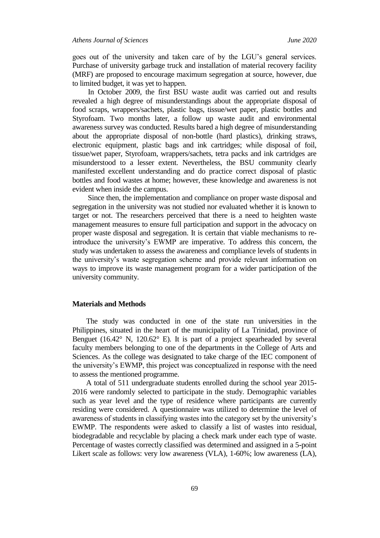goes out of the university and taken care of by the LGU"s general services. Purchase of university garbage truck and installation of material recovery facility (MRF) are proposed to encourage maximum segregation at source, however, due to limited budget, it was yet to happen.

In October 2009, the first BSU waste audit was carried out and results revealed a high degree of misunderstandings about the appropriate disposal of food scraps, wrappers/sachets, plastic bags, tissue/wet paper, plastic bottles and Styrofoam. Two months later, a follow up waste audit and environmental awareness survey was conducted. Results bared a high degree of misunderstanding about the appropriate disposal of non-bottle (hard plastics), drinking straws, electronic equipment, plastic bags and ink cartridges; while disposal of foil, tissue/wet paper, Styrofoam, wrappers/sachets, tetra packs and ink cartridges are misunderstood to a lesser extent. Nevertheless, the BSU community clearly manifested excellent understanding and do practice correct disposal of plastic bottles and food wastes at home; however, these knowledge and awareness is not evident when inside the campus.

Since then, the implementation and compliance on proper waste disposal and segregation in the university was not studied nor evaluated whether it is known to target or not. The researchers perceived that there is a need to heighten waste management measures to ensure full participation and support in the advocacy on proper waste disposal and segregation. It is certain that viable mechanisms to reintroduce the university"s EWMP are imperative. To address this concern, the study was undertaken to assess the awareness and compliance levels of students in the university"s waste segregation scheme and provide relevant information on ways to improve its waste management program for a wider participation of the university community.

## **Materials and Methods**

The study was conducted in one of the state run universities in the Philippines, situated in the heart of the municipality of La Trinidad, province of Benguet (16.42 $\textdegree$  N, 120.62 $\textdegree$  E). It is part of a project spearheaded by several faculty members belonging to one of the departments in the College of Arts and Sciences. As the college was designated to take charge of the IEC component of the university"s EWMP, this project was conceptualized in response with the need to assess the mentioned programme.

A total of 511 undergraduate students enrolled during the school year 2015**-** 2016 were randomly selected to participate in the study. Demographic variables such as year level and the type of residence where participants are currently residing were considered. A questionnaire was utilized to determine the level of awareness of students in classifying wastes into the category set by the university"s EWMP. The respondents were asked to classify a list of wastes into residual, biodegradable and recyclable by placing a check mark under each type of waste. Percentage of wastes correctly classified was determined and assigned in a 5**-**point Likert scale as follows: very low awareness (VLA), 1**-**60%; low awareness (LA),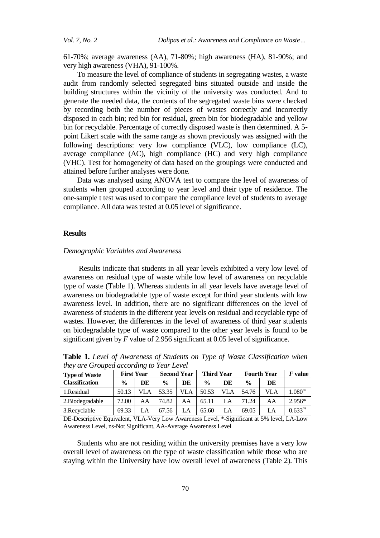61**-**70%; average awareness (AA), 71**-**80%; high awareness (HA), 81**-**90%; and very high awareness (VHA), 91**-**100%.

To measure the level of compliance of students in segregating wastes, a waste audit from randomly selected segregated bins situated outside and inside the building structures within the vicinity of the university was conducted. And to generate the needed data, the contents of the segregated waste bins were checked by recording both the number of pieces of wastes correctly and incorrectly disposed in each bin; red bin for residual, green bin for biodegradable and yellow bin for recyclable. Percentage of correctly disposed waste is then determined. A 5 point Likert scale with the same range as shown previously was assigned with the following descriptions: very low compliance (VLC), low compliance (LC), average compliance (AC), high compliance (HC) and very high compliance (VHC). Test for homogeneity of data based on the groupings were conducted and attained before further analyses were done.

Data was analysed using ANOVA test to compare the level of awareness of students when grouped according to year level and their type of residence. The one-sample t test was used to compare the compliance level of students to average compliance. All data was tested at 0.05 level of significance.

#### **Results**

## *Demographic Variables and Awareness*

Results indicate that students in all year levels exhibited a very low level of awareness on residual type of waste while low level of awareness on recyclable type of waste (Table 1). Whereas students in all year levels have average level of awareness on biodegradable type of waste except for third year students with low awareness level. In addition, there are no significant differences on the level of awareness of students in the different year levels on residual and recyclable type of wastes. However, the differences in the level of awareness of third year students on biodegradable type of waste compared to the other year levels is found to be significant given by *F* value of 2.956 significant at 0.05 level of significance.

| they are Grouped according to Year Level      |                   |       |                           |    |                   |    |                    |            |                        |
|-----------------------------------------------|-------------------|-------|---------------------------|----|-------------------|----|--------------------|------------|------------------------|
| <b>Type of Waste</b><br><b>Classification</b> | <b>First Year</b> |       | <b>Second Year</b>        |    | <b>Third Year</b> |    | <b>Fourth Year</b> |            | $\boldsymbol{F}$ value |
|                                               | $\frac{0}{0}$     | DE    | $\frac{0}{0}$             | DE | $\frac{0}{0}$     | DE | $\frac{0}{0}$      | DE         |                        |
| 1. Residual                                   | 50.13             | VLA 1 | 53.35   VLA   50.53   VLA |    |                   |    | 54.76              | <b>VLA</b> | 1.080 <sup>ns</sup>    |

2.Biodegradable | 72.00 | AA | 74.82 | AA | 65.11 | LA | 71.24 | AA | 2.956\* 3.Recyclable 69.33 LA 67.56 LA 65.60 LA 69.05 LA 0.633ns

**Table 1.** *Level of Awareness of Students on Type of Waste Classification when they are Grouped according to Year Level*

DE-Descriptive Equivalent, VLA-Very Low Awareness Level, \*-Significant at 5% level, LA-Low Awareness Level, ns-Not Significant, AA-Average Awareness Level

Students who are not residing within the university premises have a very low overall level of awareness on the type of waste classification while those who are staying within the University have low overall level of awareness (Table 2). This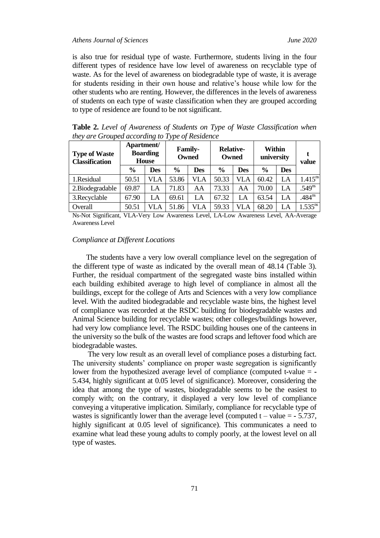is also true for residual type of waste. Furthermore, students living in the four different types of residence have low level of awareness on recyclable type of waste. As for the level of awareness on biodegradable type of waste, it is average for students residing in their own house and relative"s house while low for the other students who are renting. However, the differences in the levels of awareness of students on each type of waste classification when they are grouped according to type of residence are found to be not significant.

| <b>Type of Waste</b><br><b>Classification</b> | Apartment/<br><b>Boarding</b><br><b>House</b> |            | <b>Family-</b><br><b>Owned</b> |            | <b>Relative-</b><br>Owned |            | Within<br>university |            | value        |
|-----------------------------------------------|-----------------------------------------------|------------|--------------------------------|------------|---------------------------|------------|----------------------|------------|--------------|
|                                               | $\frac{6}{6}$                                 | <b>Des</b> | $\frac{6}{9}$                  | <b>Des</b> | $\frac{6}{9}$             | <b>Des</b> | $\frac{0}{0}$        | <b>Des</b> |              |
| 1.Residual                                    | 50.51                                         | VLA        | 53.86                          | VLA        | 50.33                     | VLA        | 60.42                | LA         | $1.415^{ns}$ |
| 2. Biodegradable                              | 69.87                                         | LA         | 71.83                          | AA         | 73.33                     | AA         | 70.00                | LA         | $.549^{ns}$  |
| 3. Recyclable                                 | 67.90                                         | LA         | 69.61                          | LA         | 67.32                     | LA         | 63.54                | LA         | $.484^{ns}$  |
| Overall                                       | 50.51                                         | VLA        | 51.86                          | VLA        | 59.33                     | VLA        | 68.20                | LA         | $1.535^{ns}$ |

**Table 2.** *Level of Awareness of Students on Type of Waste Classification when they are Grouped according to Type of Residence*

Ns-Not Significant, VLA-Very Low Awareness Level, LA-Low Awareness Level, AA-Average Awareness Level

#### *Compliance at Different Locations*

The students have a very low overall compliance level on the segregation of the different type of waste as indicated by the overall mean of 48.14 (Table 3). Further, the residual compartment of the segregated waste bins installed within each building exhibited average to high level of compliance in almost all the buildings, except for the college of Arts and Sciences with a very low compliance level. With the audited biodegradable and recyclable waste bins, the highest level of compliance was recorded at the RSDC building for biodegradable wastes and Animal Science building for recyclable wastes; other colleges/buildings however, had very low compliance level. The RSDC building houses one of the canteens in the university so the bulk of the wastes are food scraps and leftover food which are biodegradable wastes.

The very low result as an overall level of compliance poses a disturbing fact. The university students" compliance on proper waste segregation is significantly lower from the hypothesized average level of compliance (computed t**-**value = **-** 5.434, highly significant at 0.05 level of significance). Moreover, considering the idea that among the type of wastes, biodegradable seems to be the easiest to comply with; on the contrary, it displayed a very low level of compliance conveying a vituperative implication. Similarly, compliance for recyclable type of wastes is significantly lower than the average level (computed  $t - value = -5.737$ , highly significant at 0.05 level of significance). This communicates a need to examine what lead these young adults to comply poorly, at the lowest level on all type of wastes.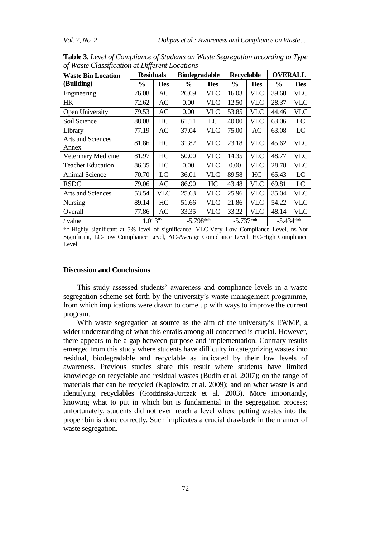| <b>Waste Bin Location</b>         | <b>Residuals</b> |            | <b>Biodegradable</b> |            | Recyclable    |            | <b>OVERALL</b> |            |
|-----------------------------------|------------------|------------|----------------------|------------|---------------|------------|----------------|------------|
| (Building)                        | $\frac{0}{0}$    | <b>Des</b> | $\frac{6}{9}$        | <b>Des</b> | $\frac{6}{6}$ | <b>Des</b> | $\frac{6}{9}$  | <b>Des</b> |
| Engineering                       | 76.08            | <b>AC</b>  | 26.69                | <b>VLC</b> | 16.03         | <b>VLC</b> | 39.60          | <b>VLC</b> |
| HК                                | 72.62            | AC         | 0.00                 | <b>VLC</b> | 12.50         | <b>VLC</b> | 28.37          | <b>VLC</b> |
| Open University                   | 79.53            | AC         | 0.00                 | <b>VLC</b> | 53.85         | <b>VLC</b> | 44.46          | <b>VLC</b> |
| Soil Science                      | 88.08            | HC         | 61.11                | LC         | 40.00         | <b>VLC</b> | 63.06          | LC         |
| Library                           | 77.19            | AC         | 37.04                | <b>VLC</b> | 75.00         | AC         | 63.08          | LC         |
| <b>Arts and Sciences</b><br>Annex | 81.86            | HC         | 31.82                | <b>VLC</b> | 23.18         | <b>VLC</b> | 45.62          | <b>VLC</b> |
| Veterinary Medicine               | 81.97            | HC         | 50.00                | <b>VLC</b> | 14.35         | <b>VLC</b> | 48.77          | <b>VLC</b> |
| <b>Teacher Education</b>          | 86.35            | HC         | 0.00                 | <b>VLC</b> | 0.00          | <b>VLC</b> | 28.78          | <b>VLC</b> |
| <b>Animal Science</b>             | 70.70            | LC         | 36.01                | <b>VLC</b> | 89.58         | HC         | 65.43          | LC         |
| <b>RSDC</b>                       | 79.06            | AC         | 86.90                | HC         | 43.48         | <b>VLC</b> | 69.81          | LC         |
| <b>Arts and Sciences</b>          | 53.54            | <b>VLC</b> | 25.63                | <b>VLC</b> | 25.96         | <b>VLC</b> | 35.04          | <b>VLC</b> |
| Nursing                           | 89.14            | HC         | 51.66                | <b>VLC</b> | 21.86         | <b>VLC</b> | 54.22          | <b>VLC</b> |
| Overall                           | 77.86            | AC         | 33.35                | <b>VLC</b> | 33.22         | <b>VLC</b> | 48.14          | <b>VLC</b> |
| t value                           | $1.013^{ns}$     |            | $-5.798**$           |            | $-5.737**$    |            | $-5.434**$     |            |

**Table 3.** *Level of Compliance of Students on Waste Segregation according to Type of Waste Classification at Different Locations*

\*\*-Highly significant at 5% level of significance, VLC-Very Low Compliance Level, ns-Not Significant, LC-Low Compliance Level, AC-Average Compliance Level, HC-High Compliance Level

# **Discussion and Conclusions**

This study assessed students" awareness and compliance levels in a waste segregation scheme set forth by the university's waste management programme, from which implications were drawn to come up with ways to improve the current program.

With waste segregation at source as the aim of the university"s EWMP, a wider understanding of what this entails among all concerned is crucial. However, there appears to be a gap between purpose and implementation. Contrary results emerged from this study where students have difficulty in categorizing wastes into residual, biodegradable and recyclable as indicated by their low levels of awareness. Previous studies share this result where students have limited knowledge on recyclable and residual wastes (Budin et al. 2007); on the range of materials that can be recycled (Kaplowitz et al. 2009); and on what waste is and identifying recyclables (Grodzinska-Jurczak et al. 2003). More importantly, knowing what to put in which bin is fundamental in the segregation process; unfortunately, students did not even reach a level where putting wastes into the proper bin is done correctly. Such implicates a crucial drawback in the manner of waste segregation.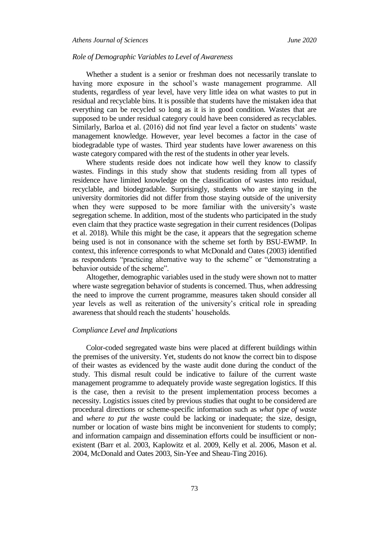## *Role of Demographic Variables to Level of Awareness*

Whether a student is a senior or freshman does not necessarily translate to having more exposure in the school's waste management programme. All students, regardless of year level, have very little idea on what wastes to put in residual and recyclable bins. It is possible that students have the mistaken idea that everything can be recycled so long as it is in good condition. Wastes that are supposed to be under residual category could have been considered as recyclables. Similarly, Barloa et al. (2016) did not find year level a factor on students" waste management knowledge. However, year level becomes a factor in the case of biodegradable type of wastes. Third year students have lower awareness on this waste category compared with the rest of the students in other year levels.

Where students reside does not indicate how well they know to classify wastes. Findings in this study show that students residing from all types of residence have limited knowledge on the classification of wastes into residual, recyclable, and biodegradable. Surprisingly, students who are staying in the university dormitories did not differ from those staying outside of the university when they were supposed to be more familiar with the university's waste segregation scheme. In addition, most of the students who participated in the study even claim that they practice waste segregation in their current residences (Dolipas et al. 2018). While this might be the case, it appears that the segregation scheme being used is not in consonance with the scheme set forth by BSU-EWMP. In context, this inference corresponds to what McDonald and Oates (2003) identified as respondents "practicing alternative way to the scheme" or "demonstrating a behavior outside of the scheme".

Altogether, demographic variables used in the study were shown not to matter where waste segregation behavior of students is concerned. Thus, when addressing the need to improve the current programme, measures taken should consider all year levels as well as reiteration of the university"s critical role in spreading awareness that should reach the students' households.

### *Compliance Level and Implications*

Color-coded segregated waste bins were placed at different buildings within the premises of the university. Yet, students do not know the correct bin to dispose of their wastes as evidenced by the waste audit done during the conduct of the study. This dismal result could be indicative to failure of the current waste management programme to adequately provide waste segregation logistics. If this is the case, then a revisit to the present implementation process becomes a necessity. Logistics issues cited by previous studies that ought to be considered are procedural directions or scheme-specific information such as *what type of waste*  and *where to put the waste* could be lacking or inadequate; the size, design, number or location of waste bins might be inconvenient for students to comply; and information campaign and dissemination efforts could be insufficient or nonexistent (Barr et al. 2003, Kaplowitz et al. 2009, Kelly et al. 2006, Mason et al. 2004, McDonald and Oates 2003, Sin-Yee and Sheau-Ting 2016).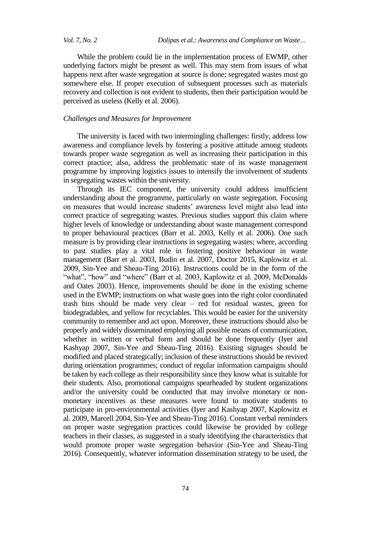*Vol. 7, No. 2 Dolipas et al.: Awareness and Compliance on Waste…*

While the problem could lie in the implementation process of EWMP, other underlying factors might be present as well. This may stem from issues of what happens next after waste segregation at source is done; segregated wastes must go somewhere else. If proper execution of subsequent processes such as materials recovery and collection is not evident to students, then their participation would be perceived as useless (Kelly et al. 2006).

# *Challenges and Measures for Improvement*

The university is faced with two intermingling challenges: firstly, address low awareness and compliance levels by fostering a positive attitude among students towards proper waste segregation as well as increasing their participation in this correct practice; also, address the problematic state of its waste management programme by improving logistics issues to intensify the involvement of students in segregating wastes within the university.

Through its IEC component, the university could address insufficient understanding about the programme, particularly on waste segregation. Focusing on measures that would increase students" awareness level might also lead into correct practice of segregating wastes. Previous studies support this claim where higher levels of knowledge or understanding about waste management correspond to proper behavioural practices (Barr et al. 2003, Kelly et al. 2006). One such measure is by providing clear instructions in segregating wastes; where, according to past studies play a vital role in fostering positive behaviour in waste management (Barr et al. 2003, Budin et al. 2007, Doctor 2015, Kaplowitz et al. 2009, Sin-Yee and Sheau-Ting 2016). Instructions could be in the form of the "what", "how" and "where" (Barr et al. 2003, Kaplowitz et al. 2009, McDonalds and Oates 2003). Hence, improvements should be done in the existing scheme used in the EWMP; instructions on what waste goes into the right color coordinated trash bins should be made very clear – red for residual wastes, green for biodegradables, and yellow for recyclables. This would be easier for the university community to remember and act upon. Moreover, these instructions should also be properly and widely disseminated employing all possible means of communication, whether in written or verbal form and should be done frequently (Iyer and Kashyap 2007, Sin-Yee and Sheau-Ting 2016). Existing signages should be modified and placed strategically; inclusion of these instructions should be revived during orientation programmes; conduct of regular information campaigns should be taken by each college as their responsibility since they know what is suitable for their students. Also, promotional campaigns spearheaded by student organizations and/or the university could be conducted that may involve monetary or nonmonetary incentives as these measures were found to motivate students to participate in pro-environmental activities (Iyer and Kashyap 2007, Kaplowitz et al. 2009, Marcell 2004, Sin-Yee and Sheau-Ting 2016). Constant verbal reminders on proper waste segregation practices could likewise be provided by college teachers in their classes, as suggested in a study identifying the characteristics that would promote proper waste segregation behavior (Sin-Yee and Sheau-Ting 2016). Consequently, whatever information dissemination strategy to be used, the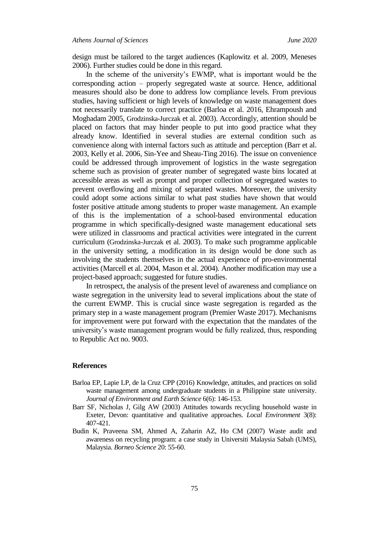design must be tailored to the target audiences (Kaplowitz et al. 2009, Meneses 2006). Further studies could be done in this regard.

In the scheme of the university's EWMP, what is important would be the corresponding action – properly segregated waste at source. Hence, additional measures should also be done to address low compliance levels. From previous studies, having sufficient or high levels of knowledge on waste management does not necessarily translate to correct practice (Barloa et al. 2016, Ehrampoush and Moghadam 2005, Grodzinska-Jurczak et al. 2003). Accordingly, attention should be placed on factors that may hinder people to put into good practice what they already know. Identified in several studies are external condition such as convenience along with internal factors such as attitude and perception (Barr et al. 2003, Kelly et al. 2006, Sin-Yee and Sheau-Ting 2016). The issue on convenience could be addressed through improvement of logistics in the waste segregation scheme such as provision of greater number of segregated waste bins located at accessible areas as well as prompt and proper collection of segregated wastes to prevent overflowing and mixing of separated wastes. Moreover, the university could adopt some actions similar to what past studies have shown that would foster positive attitude among students to proper waste management. An example of this is the implementation of a school-based environmental education programme in which specifically-designed waste management educational sets were utilized in classrooms and practical activities were integrated in the current curriculum (Grodzinska-Jurczak et al. 2003). To make such programme applicable in the university setting, a modification in its design would be done such as involving the students themselves in the actual experience of pro-environmental activities (Marcell et al. 2004, Mason et al. 2004). Another modification may use a project-based approach; suggested for future studies.

In retrospect, the analysis of the present level of awareness and compliance on waste segregation in the university lead to several implications about the state of the current EWMP. This is crucial since waste segregation is regarded as the primary step in a waste management program (Premier Waste 2017). Mechanisms for improvement were put forward with the expectation that the mandates of the university"s waste management program would be fully realized, thus, responding to Republic Act no. 9003.

#### **References**

- Barloa EP, Lapie LP, de la Cruz CPP (2016) Knowledge, attitudes, and practices on solid waste management among undergraduate students in a Philippine state university. *Journal of Environment and Earth Science* 6(6): 146-153.
- Barr SF, Nicholas J, Gilg AW (2003) Attitudes towards recycling household waste in Exeter, Devon: quantitative and qualitative approaches. *Local Environment* 3(8): 407-421.
- Budin K, Praveena SM, Ahmed A, Zaharin AZ, Ho CM (2007) Waste audit and awareness on recycling program: a case study in Universiti Malaysia Sabah (UMS), Malaysia. *Borneo Science* 20: 55-60.